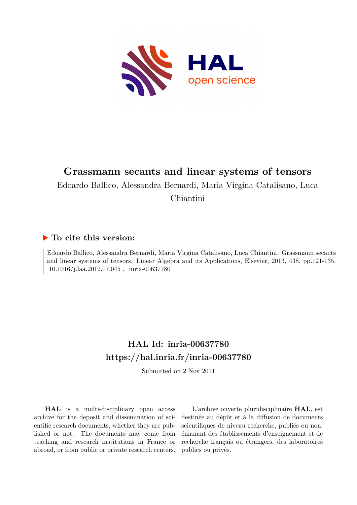

# **Grassmann secants and linear systems of tensors**

Edoardo Ballico, Alessandra Bernardi, Maria Virgina Catalisano, Luca

Chiantini

## **To cite this version:**

Edoardo Ballico, Alessandra Bernardi, Maria Virgina Catalisano, Luca Chiantini. Grassmann secants and linear systems of tensors. Linear Algebra and its Applications, Elsevier, 2013, 438, pp.121-135.  $10.1016/j.$ laa.2012.07.045 . inria-00637780

# **HAL Id: inria-00637780 <https://hal.inria.fr/inria-00637780>**

Submitted on 2 Nov 2011

**HAL** is a multi-disciplinary open access archive for the deposit and dissemination of scientific research documents, whether they are published or not. The documents may come from teaching and research institutions in France or abroad, or from public or private research centers.

L'archive ouverte pluridisciplinaire **HAL**, est destinée au dépôt et à la diffusion de documents scientifiques de niveau recherche, publiés ou non, émanant des établissements d'enseignement et de recherche français ou étrangers, des laboratoires publics ou privés.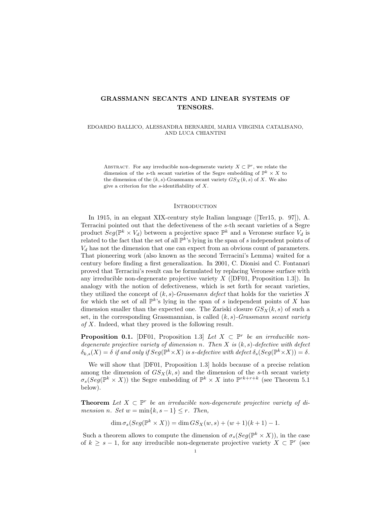### GRASSMANN SECANTS AND LINEAR SYSTEMS OF TENSORS.

#### EDOARDO BALLICO, ALESSANDRA BERNARDI, MARIA VIRGINIA CATALISANO, AND LUCA CHIANTINI

ABSTRACT. For any irreducible non-degenerate variety  $X \subset \mathbb{P}^r$ , we relate the dimension of the s-th secant varieties of the Segre embedding of  $\mathbb{P}^k \times X$  to the dimension of the  $(k, s)$ -Grassmann secant variety  $GS_X(k, s)$  of X. We also give a criterion for the  $s$ -identifiability of  $X$ .

#### **INTRODUCTION**

In 1915, in an elegant XIX-century style Italian language ([Ter15, p. 97]), A. Terracini pointed out that the defectiveness of the s-th secant varieties of a Segre product  $Seg(\mathbb{P}^k \times V_d)$  between a projective space  $\mathbb{P}^k$  and a Veronese surface  $V_d$  is related to the fact that the set of all  $\mathbb{P}^{k}$ 's lying in the span of s independent points of  $V_d$  has not the dimension that one can expect from an obvious count of parameters. That pioneering work (also known as the second Terracini's Lemma) waited for a century before finding a first generalization. In 2001, C. Dionisi and C. Fontanari proved that Terracini's result can be formulated by replacing Veronese surface with any irreducible non-degenerate projective variety  $X$  ([DF01, Proposition 1.3]). In analogy with the notion of defectiveness, which is set forth for secant varieties, they utilized the concept of  $(k, s)$ -Grassmann defect that holds for the varieties X for which the set of all  $\mathbb{P}^{k}$ 's lying in the span of s independent points of X has dimension smaller than the expected one. The Zariski closure  $GS_X(k, s)$  of such a set, in the corresponding Grassmannian, is called  $(k, s)$ -Grassmann secant variety of X. Indeed, what they proved is the following result.

**Proposition 0.1.** [DF01, Proposition 1.3] Let  $X \subset \mathbb{P}^r$  be an irreducible nondegenerate projective variety of dimension n. Then X is  $(k, s)$ -defective with defect  $\delta_{k,s}(X) = \delta$  if and only if  $Seg(\mathbb{P}^k \times X)$  is s-defective with defect  $\delta_s(Seg(\mathbb{P}^k \times X)) = \delta$ .

We will show that [DF01, Proposition 1.3] holds because of a precise relation among the dimension of  $GS_X(k, s)$  and the dimension of the s-th secant variety  $\sigma_s(Seg(\mathbb{P}^k \times X))$  the Segre embedding of  $\mathbb{P}^k \times X$  into  $\mathbb{P}^{rk+r+k}$  (see Theorem 5.1) below).

**Theorem** Let  $X \subset \mathbb{P}^r$  be an irreducible non-degenerate projective variety of dimension n. Set  $w = \min\{k, s-1\} \leq r$ . Then,

 $\dim \sigma_s(Seg(\mathbb{P}^k \times X)) = \dim GS_X(w, s) + (w+1)(k+1) - 1.$ 

Such a theorem allows to compute the dimension of  $\sigma_s(Seg(\mathbb{P}^k \times X))$ , in the case of  $k \geq s-1$ , for any irreducible non-degenerate projective variety  $X \subset \mathbb{P}^r$  (see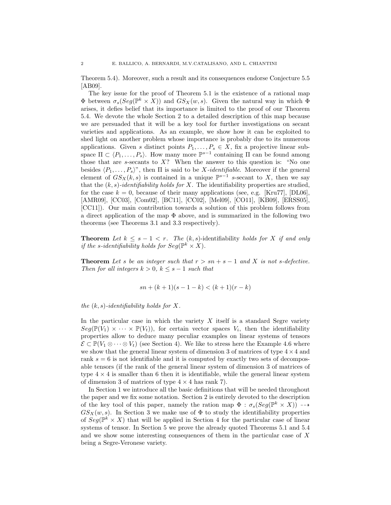Theorem 5.4). Moreover, such a result and its consequences endorse Conjecture 5.5 [AB09].

The key issue for the proof of Theorem 5.1 is the existence of a rational map  $\Phi$  between  $\sigma_s(Seg(\mathbb{P}^k \times X))$  and  $GS_X(w, s)$ . Given the natural way in which  $\Phi$ arises, it defies belief that its importance is limited to the proof of our Theorem 5.4. We devote the whole Section 2 to a detailed description of this map because we are persuaded that it will be a key tool for further investigations on secant varieties and applications. As an example, we show how it can be exploited to shed light on another problem whose importance is probably due to its numerous applications. Given s distinct points  $P_1, \ldots, P_s \in X$ , fix a projective linear subspace  $\Pi \subset \langle P_1, \ldots, P_s \rangle$ . How many more  $\mathbb{P}^{s-1}$  containing  $\Pi$  can be found among those that are s-secants to  $X$ ? When the answer to this question is: "No one besides  $\langle P_1, \ldots, P_s \rangle$ ", then  $\Pi$  is said to be X-identifiable. Moreover if the general element of  $GS_X(k, s)$  is contained in a unique  $\mathbb{P}^{s-1}$  s-secant to X, then we say that the  $(k, s)$ -identifiability holds for X. The identifiability properties are studied, for the case  $k = 0$ , because of their many applications (see, e.g. [Kru77], [DL06], [AMR09], [CC03], [Com02], [BC11], [CC02], [Mel09], [CO11], [KB09], [ERSS05], [CC11]). Our main contribution towards a solution of this problem follows from a direct application of the map  $\Phi$  above, and is summarized in the following two theorems (see Theorems 3.1 and 3.3 respectively).

**Theorem** Let  $k \leq s - 1 < r$ . The  $(k, s)$ -identifiability holds for X if and only if the s-identifiability holds for  $Seg(\mathbb{P}^k \times X)$ .

**Theorem** Let s be an integer such that  $r > sn + s - 1$  and X is not s-defective. Then for all integers  $k > 0$ ,  $k \leq s - 1$  such that

$$
sn + (k+1)(s-1-k) < (k+1)(r-k)
$$

the  $(k, s)$ -identifiability holds for X.

In the particular case in which the variety  $X$  itself is a standard Segre variety  $Seg(\mathbb{P}(V_1) \times \cdots \times \mathbb{P}(V_t))$ , for certain vector spaces  $V_i$ , then the identifiability properties allow to deduce many peculiar examples on linear systems of tensors  $\mathcal{E} \subset \mathbb{P}(V_1 \otimes \cdots \otimes V_t)$  (see Section 4). We like to stress here the Example 4.6 where we show that the general linear system of dimension 3 of matrices of type  $4 \times 4$  and rank  $s = 6$  is not identifiable and it is computed by exactly two sets of decomposable tensors (if the rank of the general linear system of dimension 3 of matrices of type  $4 \times 4$  is smaller than 6 then it is identifiable, while the general linear system of dimension 3 of matrices of type  $4 \times 4$  has rank 7).

In Section 1 we introduce all the basic definitions that will be needed throughout the paper and we fix some notation. Section 2 is entirely devoted to the description of the key tool of this paper, namely the ration map  $\Phi : \sigma_s(Seg(\mathbb{P}^k \times X)) \dashrightarrow$  $GS_X(w, s)$ . In Section 3 we make use of  $\Phi$  to study the identifiability properties of  $Seg(\mathbb{P}^k \times X)$  that will be applied in Section 4 for the particular case of linear systems of tensor. In Section 5 we prove the already quoted Theorems 5.1 and 5.4 and we show some interesting consequences of them in the particular case of X being a Segre-Veronese variety.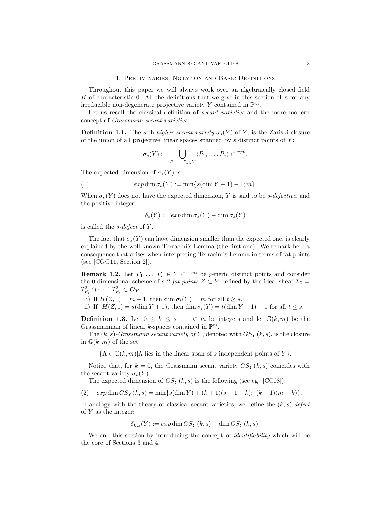#### 1. Preliminaries, Notation and Basic Definitions

Throughout this paper we will always work over an algebraically closed field K of characteristic 0. All the definitions that we give in this section olds for any irreducible non-degenerate projective variety Y contained in  $\mathbb{P}^m$ .

Let us recall the classical definition of *secant varieties* and the more modern concept of Grassmann secant varieties.

**Definition 1.1.** The s-th higher secant variety  $\sigma_s(Y)$  of Y, is the Zariski closure of the union of all projective linear spaces spanned by  $s$  distinct points of  $Y$ :

$$
\sigma_s(Y) := \overline{\bigcup_{P_1,\ldots,P_s \in Y} \langle P_1,\ldots,P_s \rangle} \subset \mathbb{P}^m.
$$

The expected dimension of  $\sigma_s(Y)$  is

(1) 
$$
exp \dim \sigma_s(Y) := \min \{s(\dim Y + 1) - 1; m\}.
$$

When  $\sigma_s(Y)$  does not have the expected dimension, Y is said to be s-defective, and the positive integer

$$
\delta_s(Y) := exp \dim \sigma_s(Y) - \dim \sigma_s(Y)
$$

is called the  $s$ -defect of Y.

The fact that  $\sigma_s(Y)$  can have dimension smaller than the expected one, is clearly explained by the well known Terracini's Lemma (the first one). We remark here a consequence that arises when interpreting Terracini's Lemma in terms of fat points (see [CGG11, Section 2]).

**Remark 1.2.** Let  $P_1, \ldots, P_s \in Y \subset \mathbb{P}^m$  be generic distinct points and consider the 0-dimensional scheme of s 2-fat points  $Z \subset Y$  defined by the ideal sheaf  $\mathcal{I}_Z$  =  $\mathcal{I}_{P_1}^2 \cap \cdots \cap \mathcal{I}_{P_s}^2 \subset \mathcal{O}_Y.$ 

i) If  $H(Z, 1) = m + 1$ , then dim  $\sigma_t(Y) = m$  for all  $t \geq s$ .

ii) If  $H(Z, 1) = s(\dim Y + 1)$ , then  $\dim \sigma_t(Y) = t(\dim Y + 1) - 1$  for all  $t \leq s$ .

**Definition 1.3.** Let  $0 \leq k \leq s-1 \leq m$  be integers and let  $\mathbb{G}(k,m)$  be the Grassmannian of linear *k*-spaces contained in  $\mathbb{P}^m$ .

The  $(k, s)$ -Grassmann secant variety of Y, denoted with  $GS_Y(k, s)$ , is the closure in  $\mathbb{G}(k,m)$  of the set

 $\{\Lambda \in \mathbb{G}(k,m)|\Lambda \text{ lies in the linear span of } s \text{ independent points of } Y\}.$ 

Notice that, for  $k = 0$ , the Grassmann secant variety  $GS_Y(k, s)$  coincides with the secant variety  $\sigma_s(Y)$ .

The expected dimension of  $GS_Y(k, s)$  is the following (see eg. [CC08]):

(2)  $exp \dim GS_Y(k, s) = \min\{s(\dim Y) + (k+1)(s-1-k); (k+1)(m-k)\}.$ 

In analogy with the theory of classical secant varieties, we define the  $(k, s)$ -defect of Y as the integer:

$$
\delta_{k,s}(Y) := exp \dim GS_Y(k,s) - \dim GS_Y(k,s).
$$

We end this section by introducing the concept of *identifiability* which will be the core of Sections 3 and 4.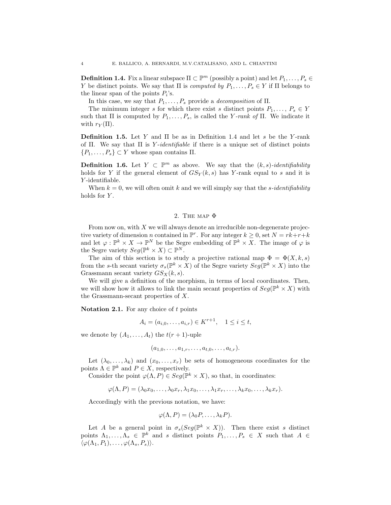**Definition 1.4.** Fix a linear subspace  $\Pi \subset \mathbb{P}^m$  (possibly a point) and let  $P_1, \ldots, P_s \in$ Y be distinct points. We say that  $\Pi$  is *computed by*  $P_1, \ldots, P_s \in Y$  if  $\Pi$  belongs to the linear span of the points  $P_i$ 's.

In this case, we say that  $P_1, \ldots, P_s$  provide a *decomposition* of  $\Pi$ .

The minimum integer s for which there exist s distinct points  $P_1, \ldots, P_s \in Y$ such that  $\Pi$  is computed by  $P_1, \ldots, P_s$ , is called the Y-rank of  $\Pi$ . We indicate it with  $r_Y(\Pi)$ .

**Definition 1.5.** Let Y and  $\Pi$  be as in Definition 1.4 and let s be the Y-rank of Π. We say that  $\Pi$  is Y-identifiable if there is a unique set of distinct points  $\{P_1,\ldots,P_s\} \subset Y$  whose span contains  $\Pi$ .

**Definition 1.6.** Let  $Y \subset \mathbb{P}^m$  as above. We say that the  $(k, s)$ -identifiability holds for Y if the general element of  $GS<sub>Y</sub>(k, s)$  has Y-rank equal to s and it is Y -identifiable.

When  $k = 0$ , we will often omit k and we will simply say that the *s*-identifiability holds for Y.

#### 2. THE MAP  $\Phi$

From now on, with  $X$  we will always denote an irreducible non-degenerate projective variety of dimension *n* contained in  $\mathbb{P}^r$ . For any integer  $k \geq 0$ , set  $N = rk + r + k$ and let  $\varphi : \mathbb{P}^k \times X \to \mathbb{P}^N$  be the Segre embedding of  $\mathbb{P}^k \times X$ . The image of  $\varphi$  is the Segre variety  $Seg(\mathbb{P}^k \times X) \subset \mathbb{P}^N$ .

The aim of this section is to study a projective rational map  $\Phi = \Phi(X, k, s)$ from the s-th secant variety  $\sigma_s(\mathbb{P}^k \times X)$  of the Segre variety  $Seg(\mathbb{P}^k \times X)$  into the Grassmann secant variety  $GS_X(k, s)$ .

We will give a definition of the morphism, in terms of local coordinates. Then, we will show how it allows to link the main secant properties of  $Seg(\mathbb{P}^k \times X)$  with the Grassmann-secant properties of X.

**Notation 2.1.** For any choice of  $t$  points

$$
A_i = (a_{i,0}, \dots, a_{i,r}) \in K^{r+1}, \quad 1 \le i \le t,
$$

we denote by  $(A_1, \ldots, A_t)$  the  $t(r + 1)$ -uple

$$
(a_{1,0},\ldots,a_{1,r},\ldots,a_{t,0},\ldots,a_{t,r}).
$$

Let  $(\lambda_0, \ldots, \lambda_k)$  and  $(x_0, \ldots, x_r)$  be sets of homogeneous coordinates for the points  $\Lambda \in \mathbb{P}^k$  and  $P \in X$ , respectively.

Consider the point  $\varphi(\Lambda, P) \in Seg(\mathbb{P}^k \times X)$ , so that, in coordinates:

 $\varphi(\Lambda, P) = (\lambda_0 x_0, \ldots, \lambda_0 x_r, \lambda_1 x_0, \ldots, \lambda_1 x_r, \ldots, \lambda_k x_0, \ldots, \lambda_k x_r).$ 

Accordingly with the previous notation, we have:

$$
\varphi(\Lambda, P) = (\lambda_0 P, \dots, \lambda_k P).
$$

Let A be a general point in  $\sigma_s(Seg(\mathbb{P}^k \times X))$ . Then there exist s distinct points  $\Lambda_1,\ldots,\Lambda_s \in \mathbb{P}^k$  and s distinct points  $P_1,\ldots,P_s \in X$  such that  $A \in$  $\langle \varphi(\Lambda_1, P_1), \ldots, \varphi(\Lambda_s, P_s) \rangle.$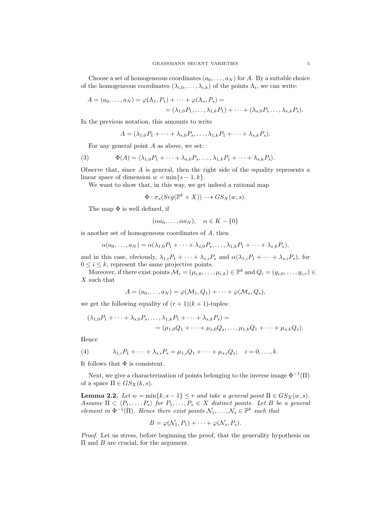Choose a set of homogeneous coordinates  $(a_0, \ldots, a_N)$  for A. By a suitable choice of the homogeneous coordinates  $(\lambda_{i,0},\ldots,\lambda_{i,k})$  of the points  $\Lambda_i$ , we can write:

$$
A = (a_0, \dots, a_N) = \varphi(\Lambda_1, P_1) + \dots + \varphi(\Lambda_s, P_s) =
$$
  
=  $(\lambda_{1,0}P_1, \dots, \lambda_{1,k}P_1) + \dots + (\lambda_{s,0}P_s \dots, \lambda_{s,k}P_s).$ 

In the previous notation, this amounts to write

$$
A = (\lambda_{1,0}P_1 + \cdots + \lambda_{s,0}P_s, \ldots, \lambda_{1,k}P_1 + \cdots + \lambda_{s,k}P_s).
$$

For any general point A as above, we set:

(3) 
$$
\Phi(A) = \langle \lambda_{1,0} P_1 + \cdots + \lambda_{s,0} P_s, \ldots, \lambda_{1,k} P_1 + \cdots + \lambda_{s,k} P_s \rangle.
$$

Observe that, since A is general, then the right side of the equality represents a linear space of dimension  $w = \min\{s - 1, k\}.$ 

We want to show that, in this way, we get indeed a rational map

$$
\Phi : \sigma_s(Seg(\mathbb{P}^k \times X)) \dashrightarrow GS_X(w, s).
$$

The map  $\Phi$  is well defined, if

$$
(\alpha a_0, \dots, \alpha a_N), \quad \alpha \in K - \{0\}
$$

is another set of homogeneous coordinates of A, then

$$
\alpha(a_0,\ldots,a_N)=\alpha(\lambda_{1,0}P_1+\cdots+\lambda_{s,0}P_s,\ldots,\lambda_{1,k}P_1+\cdots+\lambda_{s,k}P_s),
$$

and in this case, obviously,  $\lambda_{1,i}P_1 + \cdots + \lambda_{s,i}P_s$  and  $\alpha(\lambda_{1,i}P_1 + \cdots + \lambda_{s,i}P_s)$ , for  $0 \leq i \leq k$ , represent the same projective points.

Moreover, if there exist points  $\mathcal{M}_i = (\mu_{i,0}, \dots, \mu_{i,k}) \in \mathbb{P}^k$  and  $Q_i = (y_{i,0}, \dots, y_{i,r}) \in$  $X$  such that

$$
A=(a_0,\ldots,a_N)=\varphi(\mathcal{M}_1,Q_1)+\cdots+\varphi(\mathcal{M}_s,Q_s),
$$

we get the following equality of  $(r + 1)(k + 1)$ -tuples:

$$
(\lambda_{1,0}P_1 + \dots + \lambda_{s,0}P_s, \dots, \lambda_{1,k}P_1 + \dots + \lambda_{s,k}P_s) =
$$
  
= (\mu\_{1,0}Q\_1 + \dots + \mu\_{s,0}Q\_s, \dots, \mu\_{1,k}Q\_1 + \dots + \mu\_{s,k}Q\_s).

Hence

(4) 
$$
\lambda_{1,i}P_1 + \cdots + \lambda_{s,i}P_s = \mu_{1,i}Q_1 + \cdots + \mu_{s,i}Q_s; \quad i = 0,\ldots,k.
$$

It follows that  $\Phi$  is consistent.

Next, we give a characterization of points belonging to the inverse image  $\Phi^{-1}(\Pi)$ of a space  $\Pi \in GS_X(k, s)$ .

**Lemma 2.2.** Let  $w = \min\{k, s - 1\} \leq r$  and take a general point  $\Pi \in GS_X(w, s)$ . Assume  $\Pi \subset \langle P_1, \ldots, P_s \rangle$  for  $P_1, \ldots, P_s \in X$  distinct points. Let B be a general element in  $\Phi^{-1}(\Pi)$ . Hence there exist points  $\mathcal{N}_1, \ldots, \mathcal{N}_s \in \mathbb{P}^k$  such that

$$
B=\varphi(\mathcal{N}_1,P_1)+\cdots+\varphi(\mathcal{N}_s,P_s).
$$

Proof. Let us stress, before beginning the proof, that the generality hypothesis on  $\Pi$  and  $B$  are crucial, for the argument.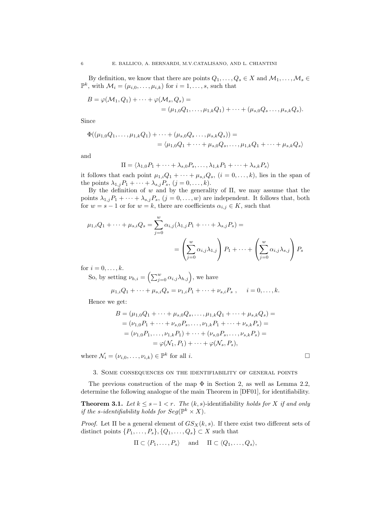By definition, we know that there are points  $Q_1, \ldots, Q_s \in X$  and  $\mathcal{M}_1, \ldots, \mathcal{M}_s \in$  $\mathbb{P}^k$ , with  $\mathcal{M}_i = (\mu_{i,0}, \dots, \mu_{i,k})$  for  $i = 1, \dots, s$ , such that

$$
B = \varphi(M_1, Q_1) + \dots + \varphi(M_s, Q_s) =
$$
  
= (\mu\_{1,0}Q\_1, \dots, \mu\_{1,k}Q\_1) + \dots + (\mu\_{s,0}Q\_s \dots, \mu\_{s,k}Q\_s).

Since

$$
\Phi((\mu_{1,0}Q_1,\ldots,\mu_{1,k}Q_1)+\cdots+(\mu_{s,0}Q_s\ldots,\mu_{s,k}Q_s))=\\ = \langle \mu_{1,0}Q_1+\cdots+\mu_{s,0}Q_s,\ldots,\mu_{1,k}Q_1+\cdots+\mu_{s,k}Q_s \rangle
$$

and

$$
\Pi = \langle \lambda_{1,0} P_1 + \dots + \lambda_{s,0} P_s, \dots, \lambda_{1,k} P_1 + \dots + \lambda_{s,k} P_s \rangle
$$

it follows that each point  $\mu_{1,i}Q_1 + \cdots + \mu_{s,i}Q_s$ ,  $(i = 0, \ldots, k)$ , lies in the span of the points  $\lambda_{1,j}P_1 + \cdots + \lambda_{s,j}P_s$ ,  $(j = 0, \ldots, k)$ .

By the definition of  $w$  and by the generality of  $\Pi$ , we may assume that the points  $\lambda_{1,j}P_1 + \cdots + \lambda_{s,j}P_s$ ,  $(j = 0, \ldots, w)$  are independent. It follows that, both for  $w = s - 1$  or for  $w = k$ , there are coefficients  $\alpha_{i,j} \in K$ , such that

$$
\mu_{1,i}Q_1 + \dots + \mu_{s,i}Q_s = \sum_{j=0}^w \alpha_{i,j} (\lambda_{1,j} P_1 + \dots + \lambda_{s,j} P_s) =
$$
  
=  $\left(\sum_{j=0}^w \alpha_{i,j} \lambda_{1,j}\right) P_1 + \dots + \left(\sum_{j=0}^w \alpha_{i,j} \lambda_{s,j}\right) P_s$ 

for  $i = 0, \ldots, k$ .

So, by setting  $\nu_{h,i} = \left( \sum_{j=0}^w \alpha_{i,j} \lambda_{h,j} \right)$ , we have

$$
\mu_{1,i}Q_1 + \cdots + \mu_{s,i}Q_s = \nu_{1,i}P_1 + \cdots + \nu_{s,i}P_s
$$
,  $i = 0, \ldots, k$ .

Hence we get:

$$
B = (\mu_{1,0}Q_1 + \dots + \mu_{s,0}Q_s, \dots, \mu_{1,k}Q_1 + \dots + \mu_{s,k}Q_s) =
$$
  
=  $(\nu_{1,0}P_1 + \dots + \nu_{s,0}P_s, \dots, \nu_{1,k}P_1 + \dots + \nu_{s,k}P_s) =$   
=  $(\nu_{1,0}P_1, \dots, \nu_{1,k}P_1) + \dots + (\nu_{s,0}P_s, \dots, \nu_{s,k}P_s) =$   
=  $\varphi(\mathcal{N}_1, P_1) + \dots + \varphi(\mathcal{N}_s, P_s),$ 

where  $\mathcal{N}_i = (\nu_{i,0}, \dots, \nu_{i,k}) \in \mathbb{P}^k$  for all *i*.

#### 3. Some consequences on the identifiability of general points

The previous construction of the map  $\Phi$  in Section 2, as well as Lemma 2.2, determine the following analogue of the main Theorem in [DF01], for identifiability.

**Theorem 3.1.** Let  $k \leq s-1 < r$ . The  $(k, s)$ -identifiability holds for X if and only if the s-identifiability holds for  $Seg(\mathbb{P}^k \times X)$ .

*Proof.* Let  $\Pi$  be a general element of  $GS_X(k, s)$ . If there exist two different sets of distinct points  $\{P_1, \ldots, P_s\}, \{Q_1, \ldots, Q_s\} \subset X$  such that

$$
\Pi \subset \langle P_1, \ldots, P_s \rangle
$$
 and  $\Pi \subset \langle Q_1, \ldots, Q_s \rangle$ ,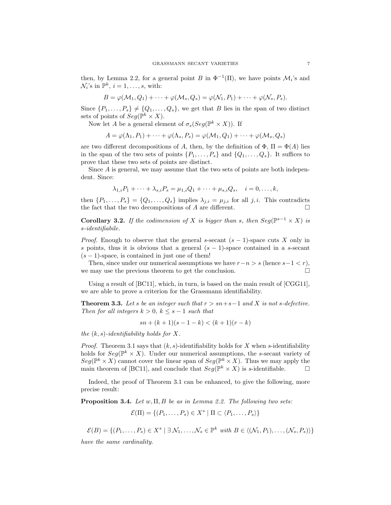then, by Lemma 2.2, for a general point B in  $\Phi^{-1}(\Pi)$ , we have points  $\mathcal{M}_i$ 's and  $\mathcal{N}_i$ 's in  $\mathbb{P}^k$ ,  $i = 1, \ldots, s$ , with:

$$
B = \varphi(\mathcal{M}_1, Q_1) + \cdots + \varphi(\mathcal{M}_s, Q_s) = \varphi(\mathcal{N}_1, P_1) + \cdots + \varphi(\mathcal{N}_s, P_s).
$$

Since  $\{P_1, \ldots, P_s\} \neq \{Q_1, \ldots, Q_s\}$ , we get that B lies in the span of two distinct sets of points of  $Seg(\mathbb{P}^k \times X)$ .

Now let A be a general element of  $\sigma_s(Seg(\mathbb{P}^k \times X))$ . If

$$
A = \varphi(\Lambda_1, P_1) + \dots + \varphi(\Lambda_s, P_s) = \varphi(\mathcal{M}_1, Q_1) + \dots + \varphi(\mathcal{M}_s, Q_s)
$$

are two different decompositions of A, then, by the definition of  $\Phi$ ,  $\Pi = \Phi(A)$  lies in the span of the two sets of points  $\{P_1, \ldots, P_s\}$  and  $\{Q_1, \ldots, Q_s\}$ . It suffices to prove that these two sets of points are distinct.

Since A is general, we may assume that the two sets of points are both independent. Since:

$$
\lambda_{1,i}P_1 + \dots + \lambda_{s,i}P_s = \mu_{1,i}Q_1 + \dots + \mu_{s,i}Q_s, \quad i = 0, \dots, k,
$$

then  $\{P_1, \ldots, P_s\} = \{Q_1, \ldots, Q_s\}$  implies  $\lambda_{j,i} = \mu_{j,i}$  for all j, i. This contradicts the fact that the two decompositions of A are different.

**Corollary 3.2.** If the codimension of X is bigger than s, then  $Seg(\mathbb{P}^{s-1} \times X)$  is s-identifiabile.

*Proof.* Enough to observe that the general s-secant  $(s - 1)$ -space cuts X only in s points, thus it is obvious that a general  $(s - 1)$ -space contained in a s-secant  $(s - 1)$ -space, is contained in just one of them!

Then, since under our numerical assumptions we have  $r-n > s$  (hence  $s-1 < r$ ), we may use the previous theorem to get the conclusion.

Using a result of [BC11], which, in turn, is based on the main result of [CGG11], we are able to prove a criterion for the Grassmann identifiability.

**Theorem 3.3.** Let s be an integer such that  $r > sn + s - 1$  and X is not s-defective. Then for all integers  $k > 0$ ,  $k \leq s - 1$  such that

$$
sn + (k+1)(s-1-k) < (k+1)(r-k)
$$

the  $(k, s)$ -identifiability holds for X.

*Proof.* Theorem 3.1 says that  $(k, s)$ -identifiability holds for X when s-identifiability holds for  $Seg(\mathbb{P}^k \times X)$ . Under our numerical assumptions, the s-secant variety of  $Seg(\mathbb{P}^k \times X)$  cannot cover the linear span of  $Seg(\mathbb{P}^k \times X)$ . Thus we may apply the main theorem of [BC11], and conclude that  $Seg(\mathbb{P}^k \times X)$  is s-identifiable.

Indeed, the proof of Theorem 3.1 can be enhanced, to give the following, more precise result:

**Proposition 3.4.** Let  $w$ ,  $\Pi$ ,  $B$  be as in Lemma 2.2. The following two sets:

$$
\mathcal{E}(\Pi) = \{ (P_1, \ldots, P_s) \in X^s \mid \Pi \subset \langle P_1, \ldots, P_s \rangle \}
$$

 $\mathcal{E}(B) = \{(P_1,\ldots,P_s) \in X^s \mid \exists \mathcal{N}_1,\ldots,\mathcal{N}_s \in \mathbb{P}^k \text{ with } B \in \langle (\mathcal{N}_1,P_1),\ldots,(\mathcal{N}_s,P_s) \rangle \}$ 

have the same cardinality.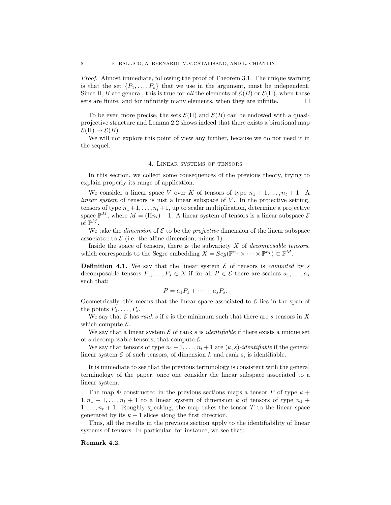Proof. Almost immediate, following the proof of Theorem 3.1. The unique warning is that the set  $\{P_1, \ldots, P_s\}$  that we use in the argument, must be independent. Since  $\Pi, B$  are general, this is true for all the elements of  $\mathcal{E}(B)$  or  $\mathcal{E}(\Pi)$ , when these sets are finite, and for infinitely many elements, when they are infinite.  $\Box$ 

To be even more precise, the sets  $\mathcal{E}(\Pi)$  and  $\mathcal{E}(B)$  can be endowed with a quasiprojective structure and Lemma 2.2 shows indeed that there exists a birational map  $\mathcal{E}(\Pi) \to \mathcal{E}(B)$ .

We will not explore this point of view any further, because we do not need it in the sequel.

#### 4. Linear systems of tensors

In this section, we collect some consequences of the previous theory, trying to explain properly its range of application.

We consider a linear space V over K of tensors of type  $n_1 + 1, \ldots, n_t + 1$ . A linear system of tensors is just a linear subspace of  $V$ . In the projective setting, tensors of type  $n_1+1, \ldots, n_t+1$ , up to scalar multiplication, determine a projective space  $\mathbb{P}^M$ , where  $M = (\Pi n_i) - 1$ . A linear system of tensors is a linear subspace  $\mathcal E$ of  $\mathbb{P}^M$ .

We take the *dimension* of  $\mathcal E$  to be the *projective* dimension of the linear subspace associated to  $\mathcal E$  (i.e. the affine dimension, minus 1).

Inside the space of tensors, there is the subvariety  $X$  of decomposable tensors, which corresponds to the Segre embedding  $X = Seg(\mathbb{P}^{n_1} \times \cdots \times \mathbb{P}^{n_t}) \subset \mathbb{P}^M$ .

**Definition 4.1.** We say that the linear system  $\mathcal E$  of tensors is *computed* by s decomposable tensors  $P_1, \ldots, P_s \in X$  if for all  $P \in \mathcal{E}$  there are scalars  $a_1, \ldots, a_s$ such that:

$$
P = a_1 P_1 + \cdots + a_s P_s.
$$

Geometrically, this means that the linear space associated to  $\mathcal E$  lies in the span of the points  $P_1, \ldots, P_s$ .

We say that  $\mathcal E$  has rank s if s is the minimum such that there are s tensors in X which compute  $\mathcal{E}$ .

We say that a linear system  $\mathcal E$  of rank s is *identifiable* if there exists a unique set of s decomposable tensors, that compute  $\mathcal{E}$ .

We say that tensors of type  $n_1 + 1, \ldots, n_t + 1$  are  $(k, s)$ -identifiable if the general linear system  $\mathcal E$  of such tensors, of dimension k and rank s, is identifiable.

It is immediate to see that the previous terminology is consistent with the general terminology of the paper, once one consider the linear subspace associated to a linear system.

The map  $\Phi$  constructed in the previous sections maps a tensor P of type  $k +$  $1, n_1 + 1, \ldots, n_t + 1$  to a linear system of dimension k of tensors of type  $n_1$  +  $1, \ldots, n_t + 1$ . Roughly speaking, the map takes the tensor T to the linear space generated by its  $k + 1$  slices along the first direction.

Thus, all the results in the previous section apply to the identifiability of linear systems of tensors. In particular, for instance, we see that:

#### Remark 4.2.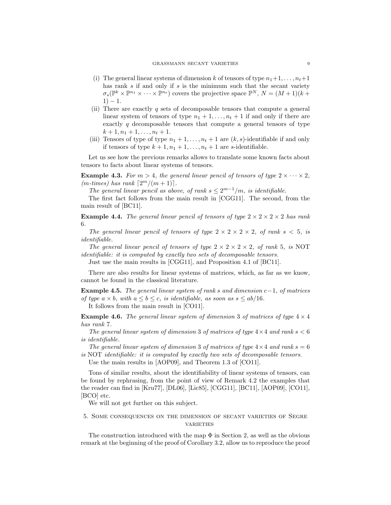- (i) The general linear systems of dimension k of tensors of type  $n_1+1, \ldots, n_t+1$ has rank s if and only if s is the minimum such that the secant variety  $\sigma_s(\mathbb{P}^k\times\mathbb{P}^{n_1}\times\cdots\times\mathbb{P}^{n_t})$  covers the projective space  $\mathbb{P}^N$ ,  $N=(M+1)(k+1)$  $1) - 1.$
- (ii) There are exactly  $q$  sets of decomposable tensors that compute a general linear system of tensors of type  $n_1 + 1, \ldots, n_t + 1$  if and only if there are exactly q decomposable tensors that compute a general tensors of type  $k+1, n_1+1, \ldots, n_t+1.$
- (iii) Tensors of type of type  $n_1 + 1, \ldots, n_t + 1$  are  $(k, s)$ -identifiable if and only if tensors of type  $k + 1, n_1 + 1, \ldots, n_t + 1$  are s-identifiable.

Let us see how the previous remarks allows to translate some known facts about tensors to facts about linear systems of tensors.

**Example 4.3.** For  $m > 4$ , the general linear pencil of tensors of type  $2 \times \cdots \times 2$ ,  $(m\text{-}times)$  has rank  $\lceil 2^m/(m+1) \rceil$ .

The general linear pencil as above, of rank  $s \leq 2^{m-1}/m$ , is identifiable.

The first fact follows from the main result in [CGG11]. The second, from the main result of [BC11].

**Example 4.4.** The general linear pencil of tensors of type  $2 \times 2 \times 2 \times 2$  has rank 6.

The general linear pencil of tensors of type  $2 \times 2 \times 2 \times 2$ , of rank  $s < 5$ , is identifiable.

The general linear pencil of tensors of type  $2 \times 2 \times 2 \times 2$ , of rank 5, is NOT identifiable: it is computed by exactly two sets of decomposable tensors.

Just use the main results in [CGG11], and Proposition 4.1 of [BC11].

There are also results for linear systems of matrices, which, as far as we know, cannot be found in the classical literature.

Example 4.5. The general linear system of rank s and dimension  $c-1$ , of matrices of type  $a \times b$ , with  $a \leq b \leq c$ , is identifiable, as soon as  $s \leq ab/16$ .

It follows from the main result in [CO11].

**Example 4.6.** The general linear system of dimension 3 of matrices of type  $4 \times 4$ has rank 7.

The general linear system of dimension 3 of matrices of type  $4 \times 4$  and rank  $s < 6$ is identifiable.

The general linear system of dimension 3 of matrices of type  $4 \times 4$  and rank  $s = 6$ is NOT identifiable: it is computed by exactly two sets of decomposable tensors.

Use the main results in [AOP09], and Theorem 1.3 of [CO11].

Tons of similar results, about the identifiability of linear systems of tensors, can be found by rephrasing, from the point of view of Remark 4.2 the examples that the reader can find in [Kru77], [DL06], [Lic85], [CGG11], [BC11], [AOP09], [CO11], [BCO] etc.

We will not get further on this subject.

5. Some consequences on the dimension of secant varieties of Segre **VARIETIES** 

The construction introduced with the map  $\Phi$  in Section 2, as well as the obvious remark at the beginning of the proof of Corollary 3.2, allow us to reproduce the proof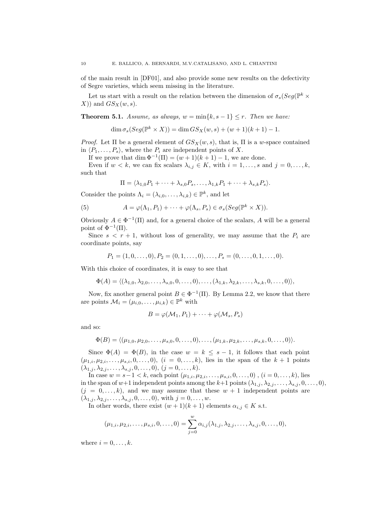of the main result in [DF01], and also provide some new results on the defectivity of Segre varieties, which seem missing in the literature.

Let us start with a result on the relation between the dimension of  $\sigma_s(Seg(\mathbb{P}^k \times$  $(X)$ ) and  $GS_X(w, s)$ .

**Theorem 5.1.** Assume, as always,  $w = \min\{k, s - 1\} \leq r$ . Then we have:

$$
\dim \sigma_s(Seg(\mathbb{P}^k \times X)) = \dim GS_X(w, s) + (w+1)(k+1) - 1.
$$

Proof. Let  $\Pi$  be a general element of  $GS_X(w, s)$ , that is,  $\Pi$  is a w-space contained in  $\langle P_1, \ldots, P_s \rangle$ , where the  $P_i$  are independent points of X.

If we prove that dim  $\Phi^{-1}(\Pi) = (w+1)(k+1) - 1$ , we are done.

Even if  $w < k$ , we can fix scalars  $\lambda_{i,j} \in K$ , with  $i = 1, ..., s$  and  $j = 0, ..., k$ , such that

$$
\Pi = \langle \lambda_{1,0} P_1 + \cdots + \lambda_{s,0} P_s, \ldots, \lambda_{1,k} P_1 + \cdots + \lambda_{s,k} P_s \rangle.
$$

Consider the points  $\Lambda_i = (\lambda_{i,0}, \ldots, \lambda_{i,k}) \in \mathbb{P}^k$ , and let

(5) 
$$
A = \varphi(\Lambda_1, P_1) + \cdots + \varphi(\Lambda_s, P_s) \in \sigma_s(Seg(\mathbb{P}^k \times X)).
$$

Obviously  $A \in \Phi^{-1}(\Pi)$  and, for a general choice of the scalars, A will be a general point of  $\Phi^{-1}(\Pi)$ .

Since  $s < r + 1$ , without loss of generality, we may assume that the  $P_i$  are coordinate points, say

$$
P_1 = (1, 0, \dots, 0), P_2 = (0, 1, \dots, 0), \dots, P_s = (0, \dots, 0, 1, \dots, 0).
$$

With this choice of coordinates, it is easy to see that

$$
\Phi(A) = \langle (\lambda_{1,0}, \lambda_{2,0}, \ldots, \lambda_{s,0}, 0, \ldots, 0), \ldots, (\lambda_{1,k}, \lambda_{2,k}, \ldots, \lambda_{s,k}, 0, \ldots, 0) \rangle,
$$

Now, fix another general point  $B \in \Phi^{-1}(\Pi)$ . By Lemma 2.2, we know that there are points  $\mathcal{M}_i = (\mu_{i,0}, \dots, \mu_{i,k}) \in \mathbb{P}^k$  with

$$
B = \varphi(\mathcal{M}_1, P_1) + \cdots + \varphi(\mathcal{M}_s, P_s)
$$

and so:

$$
\Phi(B) = \langle (\mu_{1,0}, \mu_{2,0}, \ldots, \mu_{s,0}, 0, \ldots, 0), \ldots, (\mu_{1,k}, \mu_{2,k}, \ldots, \mu_{s,k}, 0, \ldots, 0) \rangle.
$$

Since  $\Phi(A) = \Phi(B)$ , in the case  $w = k \leq s - 1$ , it follows that each point  $(\mu_{1,i}, \mu_{2,i}, \ldots, \mu_{s,i}, 0, \ldots, 0), (i = 0, \ldots, k)$ , lies in the span of the  $k+1$  points  $(\lambda_{1,j}, \lambda_{2,j}, \ldots, \lambda_{s,j}, 0, \ldots, 0), (j = 0, \ldots, k).$ 

In case  $w = s-1 < k$ , each point  $(\mu_{1,i}, \mu_{2,i}, \ldots, \mu_{s,i}, 0, \ldots, 0)$ ,  $(i = 0, \ldots, k)$ , lies in the span of  $w+1$  independent points among the  $k+1$  points  $(\lambda_{1,j}, \lambda_{2,j}, \ldots, \lambda_{s,j}, 0, \ldots, 0)$ ,  $(j = 0, \ldots, k)$ , and we may assume that these  $w + 1$  independent points are  $(\lambda_{1,j}, \lambda_{2,j}, \ldots, \lambda_{s,j}, 0, \ldots, 0)$ , with  $j = 0, \ldots, w$ .

In other words, there exist  $(w + 1)(k + 1)$  elements  $\alpha_{i,j} \in K$  s.t.

$$
(\mu_{1,i}, \mu_{2,i}, \dots, \mu_{s,i}, 0, \dots, 0) = \sum_{j=0}^{w} \alpha_{i,j}(\lambda_{1,j}, \lambda_{2,j}, \dots, \lambda_{s,j}, 0, \dots, 0),
$$

where  $i = 0, \ldots, k$ .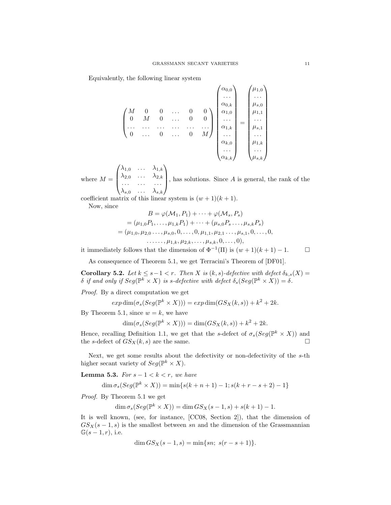Equivalently, the following linear system

$$
\begin{pmatrix}\nM & 0 & 0 & \dots & 0 & 0 \\
0 & M & 0 & \dots & 0 & 0 \\
\vdots & \vdots & \ddots & \vdots & \ddots & \vdots \\
0 & \dots & 0 & \dots & 0 & M\n\end{pmatrix}\n\begin{pmatrix}\n\alpha_{0,0} \\
\vdots \\
\alpha_{0,k} \\
\alpha_{1,0} \\
\vdots \\
\alpha_{k,1} \\
\vdots \\
\alpha_{k,0} \\
\vdots \\
\alpha_{k,k}\n\end{pmatrix}\n=\n\begin{pmatrix}\n\mu_{1,0} \\
\vdots \\
\mu_{1,0} \\
\mu_{1,1} \\
\vdots \\
\mu_{1,k} \\
\vdots \\
\mu_{1,k} \\
\vdots \\
\mu_{s,k}\n\end{pmatrix}
$$

where  $M =$  $\sqrt{ }$  $\overline{\phantom{a}}$  $\lambda_{1,0}$  ...  $\lambda_{1,k}$  $\lambda_{2,0}$  ...  $\lambda_{2,k}$ . . . . . . . . .  $\lambda_{s,0}$  ...  $\lambda_{s,k}$  $\setminus$ , has solutions. Since  $A$  is general, the rank of the

coefficient matrix of this linear system is  $(w + 1)(k + 1)$ . Now, since

$$
B = \varphi(\mathcal{M}_1, P_1) + \dots + \varphi(\mathcal{M}_s, P_s)
$$
  
=  $(\mu_{1,0}P_1, \dots, \mu_{1,k}P_1) + \dots + (\mu_{s,0}P_s \dots, \mu_{s,k}P_s)$   
=  $(\mu_{1,0}, \mu_{2,0}, \dots, \mu_{s,0}, 0, \dots, 0, \mu_{1,1}, \mu_{2,1}, \dots, \mu_{s,1}, 0, \dots, 0,$   
 $\dots \dots, \mu_{1,k}, \mu_{2,k}, \dots, \mu_{s,k}, 0, \dots, 0),$ 

it immediately follows that the dimension of  $\Phi^{-1}(\Pi)$  is  $(w+1)(k+1) - 1$ .  $\Box$ 

As consequence of Theorem 5.1, we get Terracini's Theorem of [DF01].

Corollary 5.2. Let  $k \leq s-1 < r$ . Then X is  $(k, s)$ -defective with defect  $\delta_{k,s}(X) =$  $\delta$  if and only if  $Seg(\mathbb{P}^k \times X)$  is s-defective with defect  $\delta_s(Seg(\mathbb{P}^k \times X)) = \delta$ .

Proof. By a direct computation we get

 $exp \dim(\sigma_s(Seg(\mathbb{P}^k \times X))) = exp \dim(GS_X(k, s)) + k^2 + 2k.$ 

By Theorem 5.1, since  $w = k$ , we have

$$
\dim(\sigma_s(Seg(\mathbb{P}^k \times X))) = \dim(GS_X(k, s)) + k^2 + 2k.
$$

Hence, recalling Definition 1.1, we get that the s-defect of  $\sigma_s(Seg(\mathbb{P}^k \times X))$  and the s-defect of  $GS_X(k, s)$  are the same.

Next, we get some results about the defectivity or non-defectivity of the s-th higher secant variety of  $Seg(\mathbb{P}^k \times X)$ .

Lemma 5.3. For  $s - 1 < k < r$ , we have

$$
\dim \sigma_s(Seg(\mathbb{P}^k \times X)) = \min \{ s(k+n+1) - 1; s(k+r-s+2) - 1 \}
$$

Proof. By Theorem 5.1 we get

$$
\dim \sigma_s(Seg(\mathbb{P}^k \times X)) = \dim GS_X(s-1, s) + s(k+1) - 1.
$$

It is well known, (see, for instance, [CC08, Section 2]), that the dimension of  $GS_X(s-1,s)$  is the smallest between sn and the dimension of the Grassmannian  $\mathbb{G}(s-1,r)$ , i.e.

$$
\dim GS_X(s-1, s) = \min\{sn; \ s(r - s + 1)\}.
$$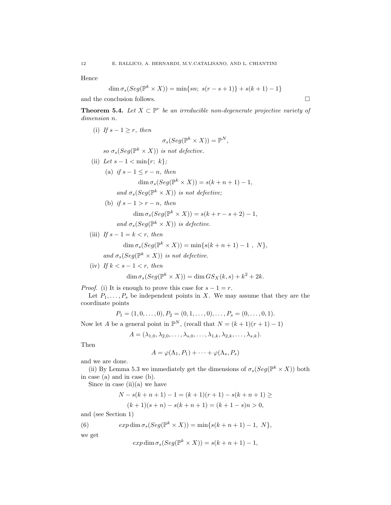Hence

$$
\dim \sigma_s(Seg(\mathbb{P}^k \times X)) = \min\{sn; \ s(r - s + 1)\} + s(k + 1) - 1\}
$$

and the conclusion follows.  $\Box$ 

**Theorem 5.4.** Let  $X \subset \mathbb{P}^r$  be an irreducible non-degenerate projective variety of dimension n.

(i) If 
$$
s - 1 \ge r
$$
, then  
\n
$$
\sigma_s(Seg(\mathbb{P}^k \times X)) = \mathbb{P}^N,
$$
\nso  $\sigma_s(Seg(\mathbb{P}^k \times X))$  is not defective.  
\n(ii) Let  $s - 1 < \min\{r; k\};$   
\n(a) if  $s - 1 \le r - n$ , then  
\n
$$
\dim \sigma_s(Seg(\mathbb{P}^k \times X)) = s(k + n + 1) - 1,
$$
\nand  $\sigma_s(Seg(\mathbb{P}^k \times X))$  is not defective;  
\n(b) if  $s - 1 > r - n$ , then  
\n
$$
\dim \sigma_s(Seg(\mathbb{P}^k \times X)) = s(k + r - s + 2) - 1,
$$
\nand  $\sigma_s(Seg(\mathbb{P}^k \times X))$  is defective.  
\n(iii) If  $s - 1 = k < r$ , then

$$
\dim \sigma_s(Seg(\mathbb{P}^k \times X)) = \min\{s(k+n+1) - 1, N\},
$$
  
and 
$$
\sigma_s(Seg(\mathbb{P}^k \times X)) \text{ is not defective.}
$$

(iv) If  $k < s - 1 < r$ , then

$$
\dim \sigma_s(Seg(\mathbb{P}^k \times X)) = \dim GS_X(k, s) + k^2 + 2k.
$$

*Proof.* (i) It is enough to prove this case for  $s - 1 = r$ .

Let  $P_1, \ldots, P_s$  be independent points in X. We may assume that they are the coordinate points

$$
P_1 = (1, 0, \dots, 0), P_2 = (0, 1, \dots, 0), \dots, P_s = (0, \dots, 0, 1).
$$

Now let A be a general point in  $\mathbb{P}^N$ , (recall that  $N = (k+1)(r+1) - 1$ )

$$
A = (\lambda_{1,0}, \lambda_{2,0}, \ldots, \lambda_{s,0}, \ldots, \lambda_{1,k}, \lambda_{2,k}, \ldots, \lambda_{s,k}).
$$

Then

$$
A = \varphi(\Lambda_1, P_1) + \cdots + \varphi(\Lambda_s, P_s)
$$

and we are done.

(ii) By Lemma 5.3 we immediately get the dimensions of  $\sigma_s(Seg(\mathbb{P}^k \times X))$  both in case (a) and in case (b).

Since in case  $(ii)(a)$  we have

$$
N - s(k+n+1) - 1 = (k+1)(r+1) - s(k+n+1) \ge
$$
  

$$
(k+1)(s+n) - s(k+n+1) = (k+1-s)n > 0,
$$

and (see Section 1)

(6) 
$$
exp \dim \sigma_s(Seg(\mathbb{P}^k \times X)) = \min\{s(k+n+1)-1, N\},\
$$

we get

$$
exp \dim \sigma_s(Seg(\mathbb{P}^k \times X)) = s(k+n+1) - 1,
$$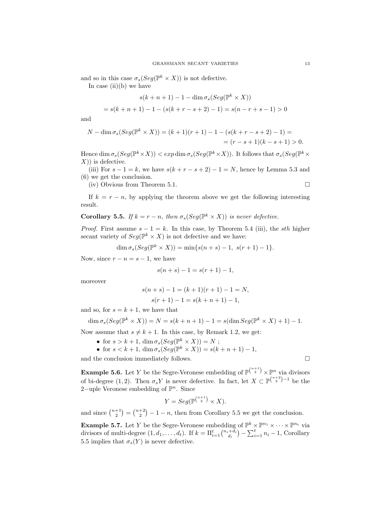and so in this case  $\sigma_s(Seg(\mathbb{P}^k \times X))$  is not defective.

In case  $(ii)(b)$  we have

$$
s(k + n + 1) - 1 - \dim \sigma_s(Seg(\mathbb{P}^k \times X))
$$
  
=  $s(k + n + 1) - 1 - (s(k + r - s + 2) - 1) = s(n - r + s - 1) > 0$ 

and

$$
N - \dim \sigma_s(Seg(\mathbb{P}^k \times X)) = (k+1)(r+1) - 1 - (s(k+r-s+2) - 1) =
$$
  
=  $(r-s+1)(k-s+1) > 0.$ 

Hence  $\dim \sigma_s(Seg(\mathbb{P}^k\times X)) < exp \dim \sigma_s(Seg(\mathbb{P}^k\times X))$ . It follows that  $\sigma_s(Seg(\mathbb{P}^k\times X))$  $(X)$ ) is defective.

(iii) For  $s - 1 = k$ , we have  $s(k + r - s + 2) - 1 = N$ , hence by Lemma 5.3 and (6) we get the conclusion.

(iv) Obvious from Theorem 5.1.

If  $k = r - n$ , by applying the theorem above we get the following interesting result.

### **Corollary 5.5.** If  $k = r - n$ , then  $\sigma_s(Seg(\mathbb{P}^k \times X))$  is never defective.

*Proof.* First assume  $s - 1 = k$ . In this case, by Theorem 5.4 (iii), the *sth* higher secant variety of  $Seg(\mathbb{P}^k \times X)$  is not defective and we have:

$$
\dim \sigma_s(Seg(\mathbb{P}^k \times X)) = \min\{s(n+s) - 1, s(r+1) - 1\}.
$$

Now, since  $r - n = s - 1$ , we have

$$
s(n+s) - 1 = s(r+1) - 1,
$$

moreover

$$
s(n+s) - 1 = (k+1)(r+1) - 1 = N,
$$
  

$$
s(r+1) - 1 = s(k+n+1) - 1,
$$

and so, for  $s = k + 1$ , we have that

$$
\dim \sigma_s(Seg(\mathbb{P}^k \times X)) = N = s(k+n+1) - 1 = s(\dim Seg(\mathbb{P}^k \times X) + 1) - 1.
$$

Now assume that  $s \neq k + 1$ . In this case, by Remark 1.2, we get:

- for  $s > k + 1$ ,  $\dim \sigma_s(Seg(\mathbb{P}^k \times X)) = N$ ;
- for  $s < k+1$ ,  $\dim \sigma_s(Seg(\mathbb{P}^k \times X)) = s(k+n+1) 1$ ,

and the conclusion immediately follows.  $\Box$ 

**Example 5.6.** Let Y be the Segre-Veronese embedding of  $\mathbb{P}^{\binom{n+1}{2}} \times \mathbb{P}^n$  via divisors of bi-degree (1,2). Then  $\sigma_s Y$  is never defective. In fact, let  $X \subset \mathbb{P}^{\binom{n+2}{2}-1}$  be the 2-uple Veronese embedding of  $\mathbb{P}^n$ . Since

$$
Y = Seg(\mathbb{P}^{\binom{n+1}{2}} \times X).
$$

and since  $\binom{n+1}{2} = \binom{n+2}{2} - 1 - n$ , then from Corollary 5.5 we get the conclusion.

**Example 5.7.** Let Y be the Segre-Veronese embedding of  $\mathbb{P}^k \times \mathbb{P}^{n_1} \times \cdots \times \mathbb{P}^{n_t}$  via divisors of multi-degree  $(1, d_1, \ldots, d_t)$ . If  $k = \prod_{i=1}^t {n_i + \bar{d}_i \choose d_i} - \sum_{i=1}^t n_i - 1$ , Corollary 5.5 implies that  $\sigma_s(Y)$  is never defective.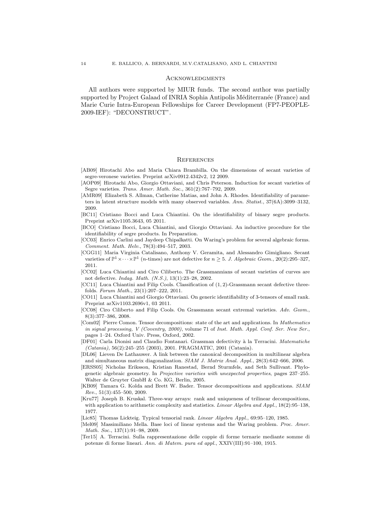#### Acknowledgments

All authors were supported by MIUR funds. The second author was partially supported by Project Galaad of INRIA Sophia Antipolis Méditerranée (France) and Marie Curie Intra-European Fellowships for Career Development (FP7-PEOPLE-2009-IEF): "DECONSTRUCT".

#### **REFERENCES**

- [AB09] Hirotachi Abo and Maria Chiara Brambilla. On the dimensions of secant varieties of segre-veronese varieties. Preprint arXiv0912.4342v2, 12 2009.
- [AOP09] Hirotachi Abo, Giorgio Ottaviani, and Chris Peterson. Induction for secant varieties of Segre varieties. Trans. Amer. Math. Soc., 361(2):767–792, 2009.
- [AMR09] Elizabeth S. Allman, Catherine Matias, and John A. Rhodes. Identifiability of parameters in latent structure models with many observed variables. Ann. Statist., 37(6A):3099–3132, 2009.
- [BC11] Cristiano Bocci and Luca Chiantini. On the identifiability of binary segre products. Preprint arXiv1105.3643, 05 2011.
- [BCO] Cristiano Bocci, Luca Chiantini, and Giorgio Ottaviani. An inductive procedure for the identifiability of segre products. In Preparation.
- [CC03] Enrico Carlini and Jaydeep Chipalkatti. On Waring's problem for several algebraic forms. Comment. Math. Helv., 78(3):494–517, 2003.
- [CGG11] Maria Virginia Catalisano, Anthony V. Geramita, and Alessandro Gimigliano. Secant varieties of  $\mathbb{P}^1 \times \cdots \times \mathbb{P}^1$  (*n*-times) are not defective for  $n \geq 5$ . *J. Algebraic Geom.*, 20(2):295–327, 2011.
- [CC02] Luca Chiantini and Ciro Ciliberto. The Grassmannians of secant varieties of curves are not defective. Indag. Math. (N.S.), 13(1):23–28, 2002.
- [CC11] Luca Chiantini and Filip Cools. Classification of (1, 2)-Grassmann secant defective threefolds. Forum Math., 23(1):207–222, 2011.
- [CO11] Luca Chiantini and Giorgio Ottaviani. On generic identifiability of 3-tensors of small rank. Preprint arXiv1103.2696v1, 03 2011.
- [CC08] Ciro Ciliberto and Filip Cools. On Grassmann secant extremal varieties. Adv. Geom., 8(3):377–386, 2008.
- [Com02] Pierre Comon. Tensor decompositions: state of the art and applications. In Mathematics in signal processing, V (Coventry, 2000), volume 71 of Inst. Math. Appl. Conf. Ser. New Ser., pages 1–24. Oxford Univ. Press, Oxford, 2002.
- [DF01] Carla Dionisi and Claudio Fontanari. Grassman defectivity à la Terracini. Matematiche (Catania), 56(2):245–255 (2003), 2001. PRAGMATIC, 2001 (Catania).
- [DL06] Lieven De Lathauwer. A link between the canonical decomposition in multilinear algebra and simultaneous matrix diagonalization. SIAM J. Matrix Anal. Appl., 28(3):642–666, 2006.
- [ERSS05] Nicholas Eriksson, Kristian Ranestad, Bernd Sturmfels, and Seth Sullivant. Phylogenetic algebraic geometry. In Projective varieties with unexpected properties, pages 237–255. Walter de Gruyter GmbH & Co. KG, Berlin, 2005.
- [KB09] Tamara G. Kolda and Brett W. Bader. Tensor decompositions and applications. SIAM  $Rev.$ ,  $51(3): 455-500$ ,  $2009$ .
- [Kru77] Joseph B. Kruskal. Three-way arrays: rank and uniqueness of trilinear decompositions, with application to arithmetic complexity and statistics. Linear Algebra and Appl., 18(2):95-138, 1977.
- [Lic85] Thomas Lickteig. Typical tensorial rank. Linear Algebra Appl., 69:95–120, 1985.
- [Mel09] Massimiliano Mella. Base loci of linear systems and the Waring problem. Proc. Amer. Math. Soc., 137(1):91–98, 2009.
- [Ter15] A. Terracini. Sulla rappresentazione delle coppie di forme ternarie mediante somme di potenze di forme lineari. Ann. di Matem. pura ed appl., XXIV(III):91–100, 1915.